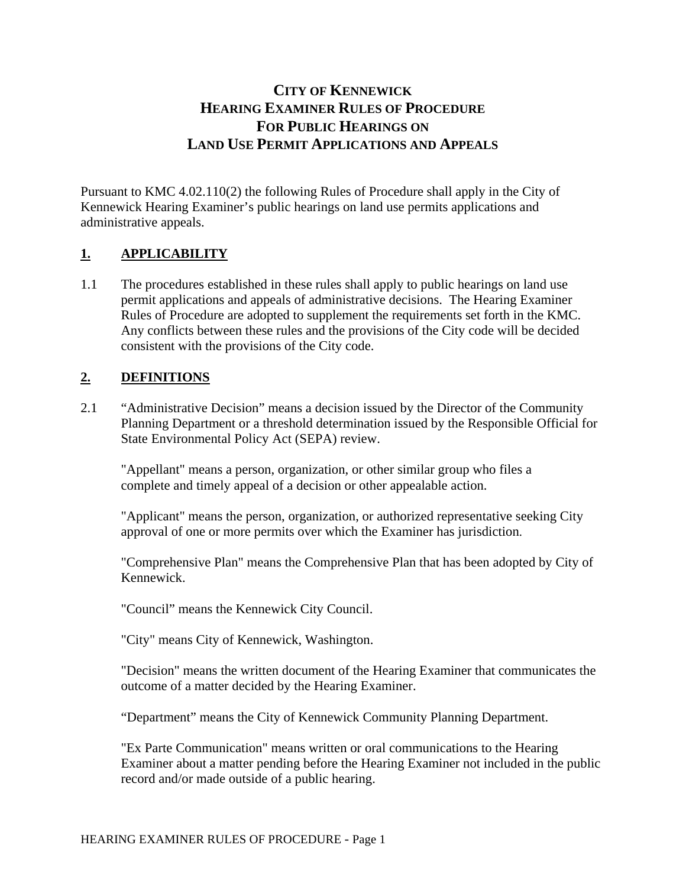# **CITY OF KENNEWICK HEARING EXAMINER RULES OF PROCEDURE FOR PUBLIC HEARINGS ON LAND USE PERMIT APPLICATIONS AND APPEALS**

Pursuant to KMC 4.02.110(2) the following Rules of Procedure shall apply in the City of Kennewick Hearing Examiner's public hearings on land use permits applications and administrative appeals.

## **1. APPLICABILITY**

1.1 The procedures established in these rules shall apply to public hearings on land use permit applications and appeals of administrative decisions. The Hearing Examiner Rules of Procedure are adopted to supplement the requirements set forth in the KMC. Any conflicts between these rules and the provisions of the City code will be decided consistent with the provisions of the City code.

## **2. DEFINITIONS**

2.1 "Administrative Decision" means a decision issued by the Director of the Community Planning Department or a threshold determination issued by the Responsible Official for State Environmental Policy Act (SEPA) review.

"Appellant" means a person, organization, or other similar group who files a complete and timely appeal of a decision or other appealable action.

"Applicant" means the person, organization, or authorized representative seeking City approval of one or more permits over which the Examiner has jurisdiction.

"Comprehensive Plan" means the Comprehensive Plan that has been adopted by City of Kennewick.

"Council" means the Kennewick City Council.

"City" means City of Kennewick, Washington.

"Decision" means the written document of the Hearing Examiner that communicates the outcome of a matter decided by the Hearing Examiner.

"Department" means the City of Kennewick Community Planning Department.

"Ex Parte Communication" means written or oral communications to the Hearing Examiner about a matter pending before the Hearing Examiner not included in the public record and/or made outside of a public hearing.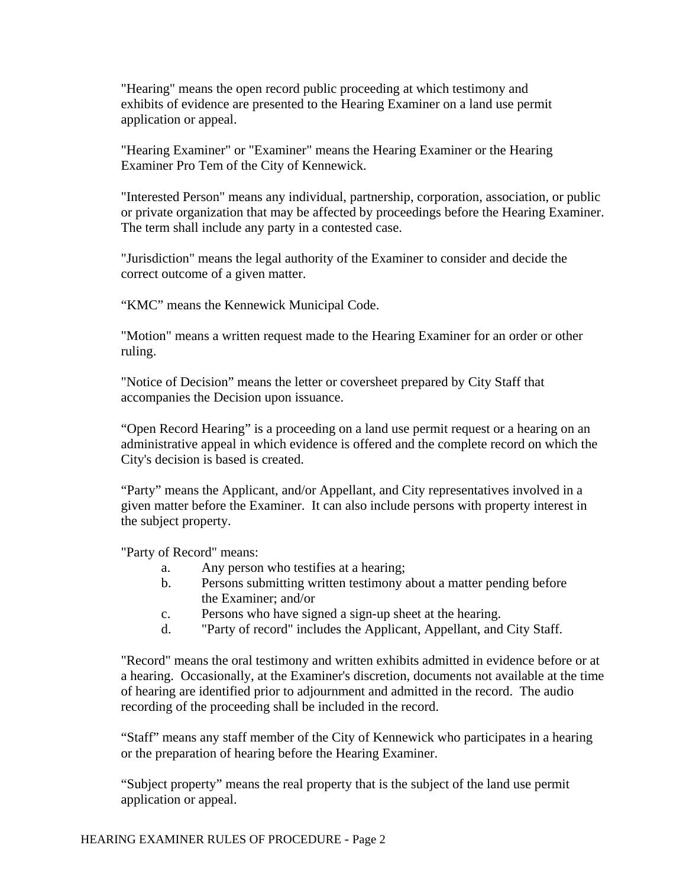"Hearing" means the open record public proceeding at which testimony and exhibits of evidence are presented to the Hearing Examiner on a land use permit application or appeal.

"Hearing Examiner" or "Examiner" means the Hearing Examiner or the Hearing Examiner Pro Tem of the City of Kennewick.

"Interested Person" means any individual, partnership, corporation, association, or public or private organization that may be affected by proceedings before the Hearing Examiner. The term shall include any party in a contested case.

"Jurisdiction" means the legal authority of the Examiner to consider and decide the correct outcome of a given matter.

"KMC" means the Kennewick Municipal Code.

"Motion" means a written request made to the Hearing Examiner for an order or other ruling.

"Notice of Decision" means the letter or coversheet prepared by City Staff that accompanies the Decision upon issuance.

"Open Record Hearing" is a proceeding on a land use permit request or a hearing on an administrative appeal in which evidence is offered and the complete record on which the City's decision is based is created.

"Party" means the Applicant, and/or Appellant, and City representatives involved in a given matter before the Examiner. It can also include persons with property interest in the subject property.

"Party of Record" means:

- a. Any person who testifies at a hearing;
- b. Persons submitting written testimony about a matter pending before the Examiner; and/or
- c. Persons who have signed a sign-up sheet at the hearing.
- d. "Party of record" includes the Applicant, Appellant, and City Staff.

"Record" means the oral testimony and written exhibits admitted in evidence before or at a hearing. Occasionally, at the Examiner's discretion, documents not available at the time of hearing are identified prior to adjournment and admitted in the record. The audio recording of the proceeding shall be included in the record.

"Staff" means any staff member of the City of Kennewick who participates in a hearing or the preparation of hearing before the Hearing Examiner.

"Subject property" means the real property that is the subject of the land use permit application or appeal.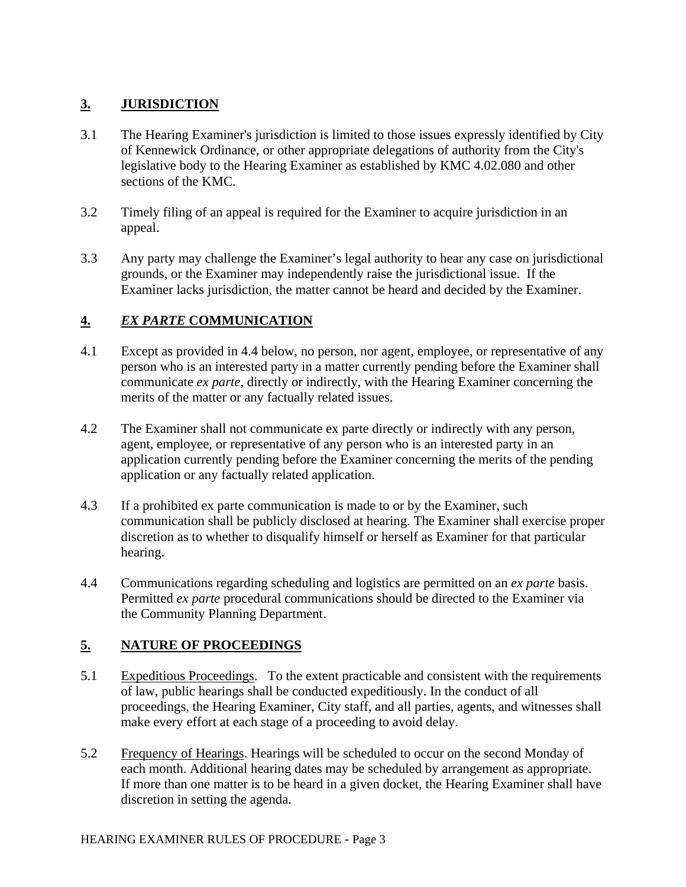## **3. JURISDICTION**

- 3.1 The Hearing Examiner's jurisdiction is limited to those issues expressly identified by City of Kennewick Ordinance, or other appropriate delegations of authority from the City's legislative body to the Hearing Examiner as established by KMC 4.02.080 and other sections of the KMC.
- 3.2 Timely filing of an appeal is required for the Examiner to acquire jurisdiction in an appeal.
- 3.3 Any party may challenge the Examiner's legal authority to hear any case on jurisdictional grounds, or the Examiner may independently raise the jurisdictional issue. If the Examiner lacks jurisdiction, the matter cannot be heard and decided by the Examiner.

## **4.** *EX PARTE* **COMMUNICATION**

- 4.1 Except as provided in 4.4 below, no person, nor agent, employee, or representative of any person who is an interested party in a matter currently pending before the Examiner shall communicate *ex parte*, directly or indirectly, with the Hearing Examiner concerning the merits of the matter or any factually related issues.
- 4.2 The Examiner shall not communicate ex parte directly or indirectly with any person, agent, employee, or representative of any person who is an interested party in an application currently pending before the Examiner concerning the merits of the pending application or any factually related application.
- 4.3 If a prohibited ex parte communication is made to or by the Examiner, such communication shall be publicly disclosed at hearing. The Examiner shall exercise proper discretion as to whether to disqualify himself or herself as Examiner for that particular hearing.
- 4.4 Communications regarding scheduling and logistics are permitted on an *ex parte* basis. Permitted *ex parte* procedural communications should be directed to the Examiner via the Community Planning Department.

## **5. NATURE OF PROCEEDINGS**

- 5.1 Expeditious Proceedings. To the extent practicable and consistent with the requirements of law, public hearings shall be conducted expeditiously. In the conduct of all proceedings, the Hearing Examiner, City staff, and all parties, agents, and witnesses shall make every effort at each stage of a proceeding to avoid delay.
- 5.2 Frequency of Hearings. Hearings will be scheduled to occur on the second Monday of each month. Additional hearing dates may be scheduled by arrangement as appropriate. If more than one matter is to be heard in a given docket, the Hearing Examiner shall have discretion in setting the agenda.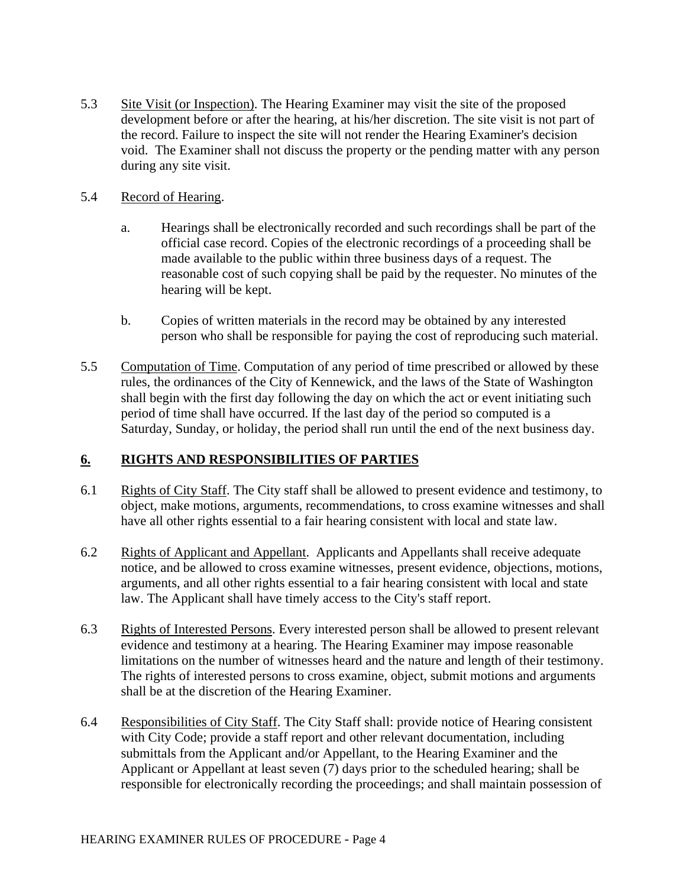- 5.3 Site Visit (or Inspection). The Hearing Examiner may visit the site of the proposed development before or after the hearing, at his/her discretion. The site visit is not part of the record. Failure to inspect the site will not render the Hearing Examiner's decision void. The Examiner shall not discuss the property or the pending matter with any person during any site visit.
- 5.4 Record of Hearing.
	- a. Hearings shall be electronically recorded and such recordings shall be part of the official case record. Copies of the electronic recordings of a proceeding shall be made available to the public within three business days of a request. The reasonable cost of such copying shall be paid by the requester. No minutes of the hearing will be kept.
	- b. Copies of written materials in the record may be obtained by any interested person who shall be responsible for paying the cost of reproducing such material.
- 5.5 Computation of Time. Computation of any period of time prescribed or allowed by these rules, the ordinances of the City of Kennewick, and the laws of the State of Washington shall begin with the first day following the day on which the act or event initiating such period of time shall have occurred. If the last day of the period so computed is a Saturday, Sunday, or holiday, the period shall run until the end of the next business day.

## **6. RIGHTS AND RESPONSIBILITIES OF PARTIES**

- 6.1 Rights of City Staff. The City staff shall be allowed to present evidence and testimony, to object, make motions, arguments, recommendations, to cross examine witnesses and shall have all other rights essential to a fair hearing consistent with local and state law.
- 6.2 Rights of Applicant and Appellant. Applicants and Appellants shall receive adequate notice, and be allowed to cross examine witnesses, present evidence, objections, motions, arguments, and all other rights essential to a fair hearing consistent with local and state law. The Applicant shall have timely access to the City's staff report.
- 6.3 Rights of Interested Persons. Every interested person shall be allowed to present relevant evidence and testimony at a hearing. The Hearing Examiner may impose reasonable limitations on the number of witnesses heard and the nature and length of their testimony. The rights of interested persons to cross examine, object, submit motions and arguments shall be at the discretion of the Hearing Examiner.
- 6.4 Responsibilities of City Staff. The City Staff shall: provide notice of Hearing consistent with City Code; provide a staff report and other relevant documentation, including submittals from the Applicant and/or Appellant, to the Hearing Examiner and the Applicant or Appellant at least seven (7) days prior to the scheduled hearing; shall be responsible for electronically recording the proceedings; and shall maintain possession of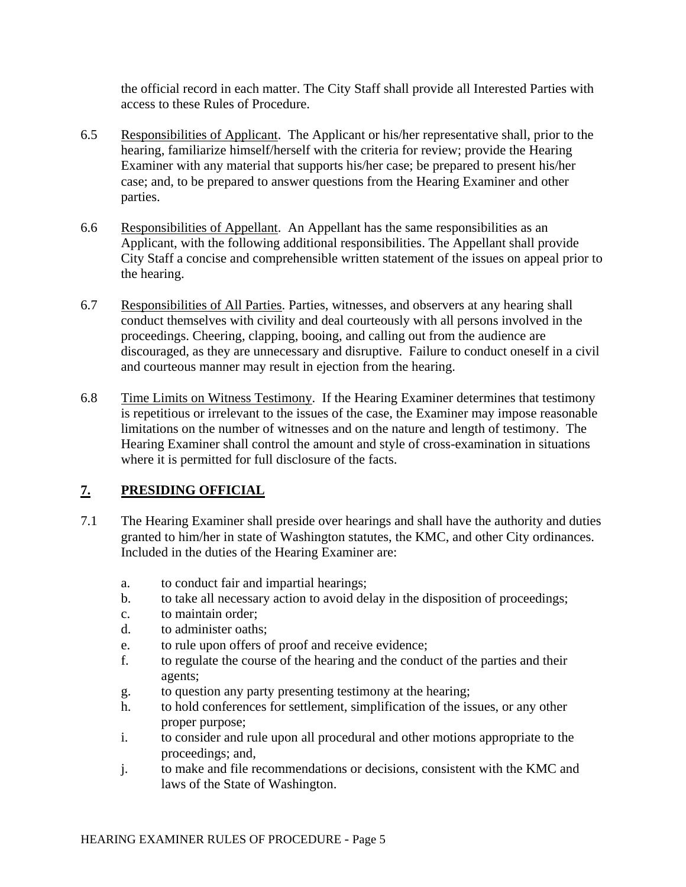the official record in each matter. The City Staff shall provide all Interested Parties with access to these Rules of Procedure.

- 6.5 Responsibilities of Applicant. The Applicant or his/her representative shall, prior to the hearing, familiarize himself/herself with the criteria for review; provide the Hearing Examiner with any material that supports his/her case; be prepared to present his/her case; and, to be prepared to answer questions from the Hearing Examiner and other parties.
- 6.6 Responsibilities of Appellant. An Appellant has the same responsibilities as an Applicant, with the following additional responsibilities. The Appellant shall provide City Staff a concise and comprehensible written statement of the issues on appeal prior to the hearing.
- 6.7 Responsibilities of All Parties. Parties, witnesses, and observers at any hearing shall conduct themselves with civility and deal courteously with all persons involved in the proceedings. Cheering, clapping, booing, and calling out from the audience are discouraged, as they are unnecessary and disruptive. Failure to conduct oneself in a civil and courteous manner may result in ejection from the hearing.
- 6.8 Time Limits on Witness Testimony. If the Hearing Examiner determines that testimony is repetitious or irrelevant to the issues of the case, the Examiner may impose reasonable limitations on the number of witnesses and on the nature and length of testimony. The Hearing Examiner shall control the amount and style of cross-examination in situations where it is permitted for full disclosure of the facts.

## **7. PRESIDING OFFICIAL**

- 7.1 The Hearing Examiner shall preside over hearings and shall have the authority and duties granted to him/her in state of Washington statutes, the KMC, and other City ordinances. Included in the duties of the Hearing Examiner are:
	- a. to conduct fair and impartial hearings;
	- b. to take all necessary action to avoid delay in the disposition of proceedings;
	- c. to maintain order;
	- d. to administer oaths;
	- e. to rule upon offers of proof and receive evidence;
	- f. to regulate the course of the hearing and the conduct of the parties and their agents;
	- g. to question any party presenting testimony at the hearing;
	- h. to hold conferences for settlement, simplification of the issues, or any other proper purpose;
	- i. to consider and rule upon all procedural and other motions appropriate to the proceedings; and,
	- j. to make and file recommendations or decisions, consistent with the KMC and laws of the State of Washington.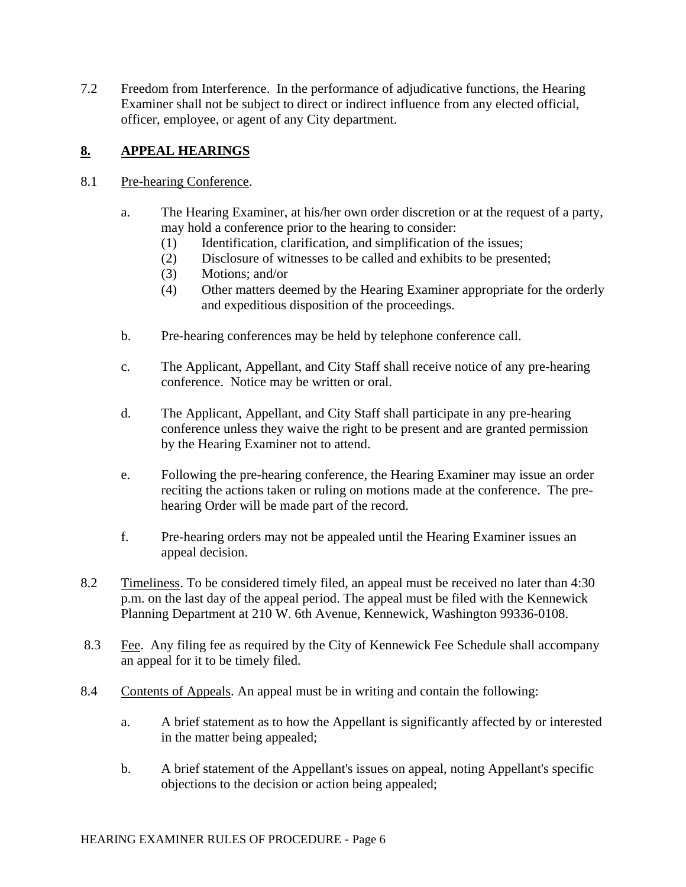7.2 Freedom from Interference. In the performance of adjudicative functions, the Hearing Examiner shall not be subject to direct or indirect influence from any elected official, officer, employee, or agent of any City department.

## **8. APPEAL HEARINGS**

### 8.1 Pre-hearing Conference.

- a. The Hearing Examiner, at his/her own order discretion or at the request of a party, may hold a conference prior to the hearing to consider:
	- (1) Identification, clarification, and simplification of the issues;
	- (2) Disclosure of witnesses to be called and exhibits to be presented;
	- (3) Motions; and/or
	- (4) Other matters deemed by the Hearing Examiner appropriate for the orderly and expeditious disposition of the proceedings.
- b. Pre-hearing conferences may be held by telephone conference call.
- c. The Applicant, Appellant, and City Staff shall receive notice of any pre-hearing conference. Notice may be written or oral.
- d. The Applicant, Appellant, and City Staff shall participate in any pre-hearing conference unless they waive the right to be present and are granted permission by the Hearing Examiner not to attend.
- e. Following the pre-hearing conference, the Hearing Examiner may issue an order reciting the actions taken or ruling on motions made at the conference. The prehearing Order will be made part of the record.
- f. Pre-hearing orders may not be appealed until the Hearing Examiner issues an appeal decision.
- 8.2 Timeliness. To be considered timely filed, an appeal must be received no later than 4:30 p.m. on the last day of the appeal period. The appeal must be filed with the Kennewick Planning Department at 210 W. 6th Avenue, Kennewick, Washington 99336-0108.
- 8.3 Fee. Any filing fee as required by the City of Kennewick Fee Schedule shall accompany an appeal for it to be timely filed.
- 8.4 Contents of Appeals. An appeal must be in writing and contain the following:
	- a. A brief statement as to how the Appellant is significantly affected by or interested in the matter being appealed;
	- b. A brief statement of the Appellant's issues on appeal, noting Appellant's specific objections to the decision or action being appealed;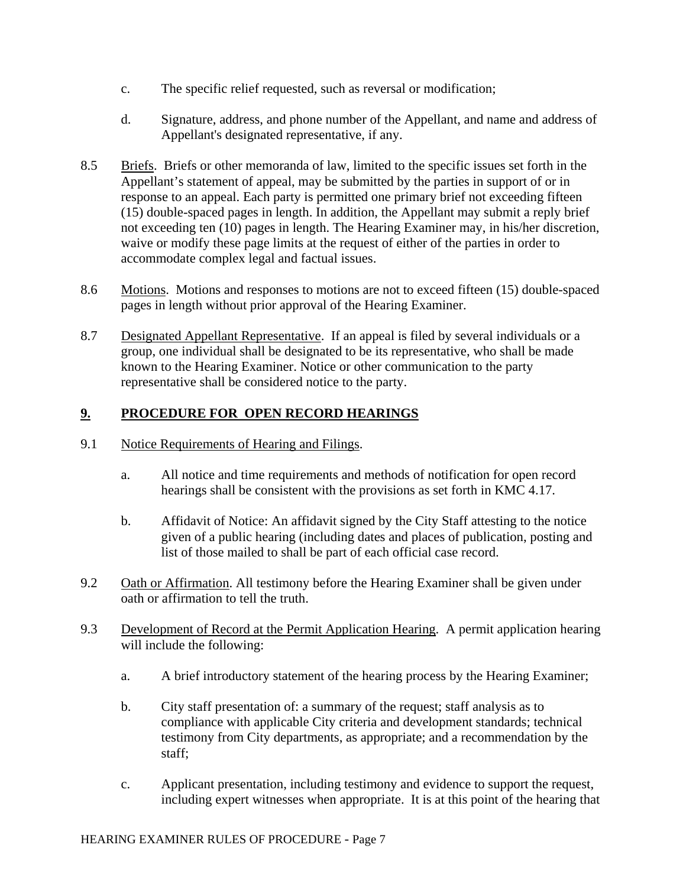- c. The specific relief requested, such as reversal or modification;
- d. Signature, address, and phone number of the Appellant, and name and address of Appellant's designated representative, if any.
- 8.5 Briefs. Briefs or other memoranda of law, limited to the specific issues set forth in the Appellant's statement of appeal, may be submitted by the parties in support of or in response to an appeal. Each party is permitted one primary brief not exceeding fifteen (15) double-spaced pages in length. In addition, the Appellant may submit a reply brief not exceeding ten (10) pages in length. The Hearing Examiner may, in his/her discretion, waive or modify these page limits at the request of either of the parties in order to accommodate complex legal and factual issues.
- 8.6 Motions. Motions and responses to motions are not to exceed fifteen (15) double-spaced pages in length without prior approval of the Hearing Examiner.
- 8.7 Designated Appellant Representative. If an appeal is filed by several individuals or a group, one individual shall be designated to be its representative, who shall be made known to the Hearing Examiner. Notice or other communication to the party representative shall be considered notice to the party.

### **9. PROCEDURE FOR OPEN RECORD HEARINGS**

- 9.1 Notice Requirements of Hearing and Filings.
	- a. All notice and time requirements and methods of notification for open record hearings shall be consistent with the provisions as set forth in KMC 4.17.
	- b. Affidavit of Notice: An affidavit signed by the City Staff attesting to the notice given of a public hearing (including dates and places of publication, posting and list of those mailed to shall be part of each official case record.
- 9.2 Oath or Affirmation. All testimony before the Hearing Examiner shall be given under oath or affirmation to tell the truth.
- 9.3 Development of Record at the Permit Application Hearing. A permit application hearing will include the following:
	- a. A brief introductory statement of the hearing process by the Hearing Examiner;
	- b. City staff presentation of: a summary of the request; staff analysis as to compliance with applicable City criteria and development standards; technical testimony from City departments, as appropriate; and a recommendation by the staff;
	- c. Applicant presentation, including testimony and evidence to support the request, including expert witnesses when appropriate. It is at this point of the hearing that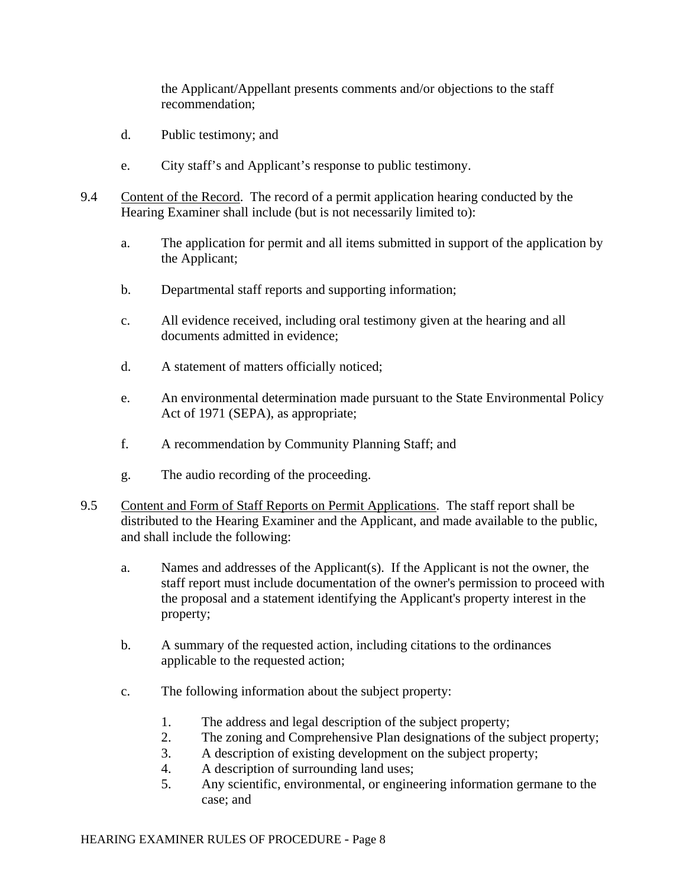the Applicant/Appellant presents comments and/or objections to the staff recommendation;

- d. Public testimony; and
- e. City staff's and Applicant's response to public testimony.
- 9.4 Content of the Record. The record of a permit application hearing conducted by the Hearing Examiner shall include (but is not necessarily limited to):
	- a. The application for permit and all items submitted in support of the application by the Applicant;
	- b.Departmental staff reports and supporting information;
	- c. All evidence received, including oral testimony given at the hearing and all documents admitted in evidence;
	- d. A statement of matters officially noticed;
	- e. An environmental determination made pursuant to the State Environmental Policy Act of 1971 (SEPA), as appropriate;
	- f. A recommendation by Community Planning Staff; and
	- g. The audio recording of the proceeding.
- 9.5 Content and Form of Staff Reports on Permit Applications. The staff report shall be distributed to the Hearing Examiner and the Applicant, and made available to the public, and shall include the following:
	- a. Names and addresses of the Applicant(s). If the Applicant is not the owner, the staff report must include documentation of the owner's permission to proceed with the proposal and a statement identifying the Applicant's property interest in the property;
	- b. A summary of the requested action, including citations to the ordinances applicable to the requested action;
	- c. The following information about the subject property:
		- 1. The address and legal description of the subject property;
		- 2. The zoning and Comprehensive Plan designations of the subject property;
		- 3. A description of existing development on the subject property;
		- 4. A description of surrounding land uses;
		- 5. Any scientific, environmental, or engineering information germane to the case; and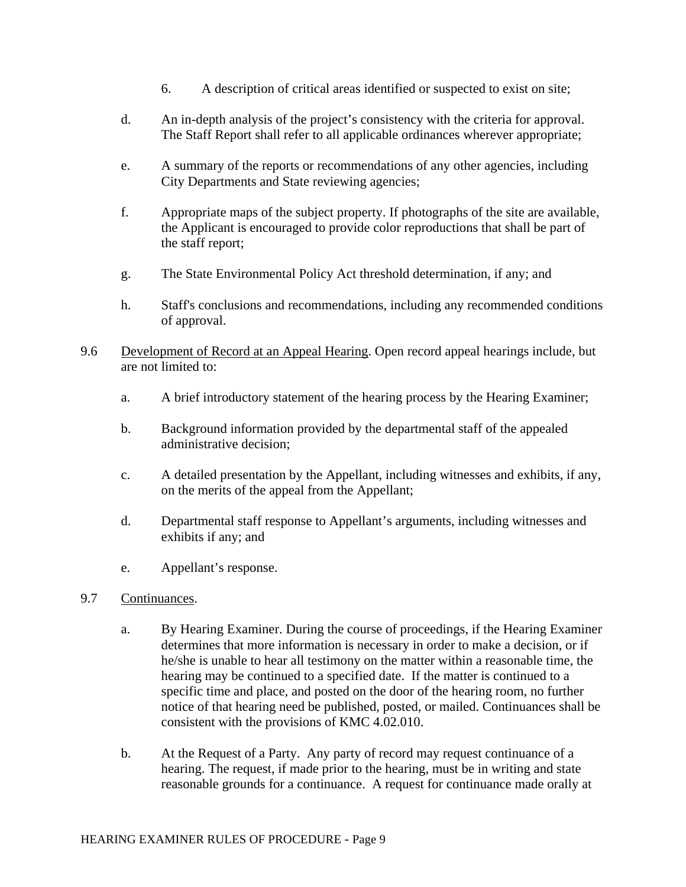- 6. A description of critical areas identified or suspected to exist on site;
- d. An in-depth analysis of the project's consistency with the criteria for approval. The Staff Report shall refer to all applicable ordinances wherever appropriate;
- e. A summary of the reports or recommendations of any other agencies, including City Departments and State reviewing agencies;
- f. Appropriate maps of the subject property. If photographs of the site are available, the Applicant is encouraged to provide color reproductions that shall be part of the staff report;
- g. The State Environmental Policy Act threshold determination, if any; and
- h. Staff's conclusions and recommendations, including any recommended conditions of approval.
- 9.6 Development of Record at an Appeal Hearing. Open record appeal hearings include, but are not limited to:
	- a. A brief introductory statement of the hearing process by the Hearing Examiner;
	- b. Background information provided by the departmental staff of the appealed administrative decision;
	- c. A detailed presentation by the Appellant, including witnesses and exhibits, if any, on the merits of the appeal from the Appellant;
	- d. Departmental staff response to Appellant's arguments, including witnesses and exhibits if any; and
	- e. Appellant's response.

#### 9.7 Continuances.

- a. By Hearing Examiner. During the course of proceedings, if the Hearing Examiner determines that more information is necessary in order to make a decision, or if he/she is unable to hear all testimony on the matter within a reasonable time, the hearing may be continued to a specified date. If the matter is continued to a specific time and place, and posted on the door of the hearing room, no further notice of that hearing need be published, posted, or mailed. Continuances shall be consistent with the provisions of KMC 4.02.010.
- b. At the Request of a Party. Any party of record may request continuance of a hearing. The request, if made prior to the hearing, must be in writing and state reasonable grounds for a continuance. A request for continuance made orally at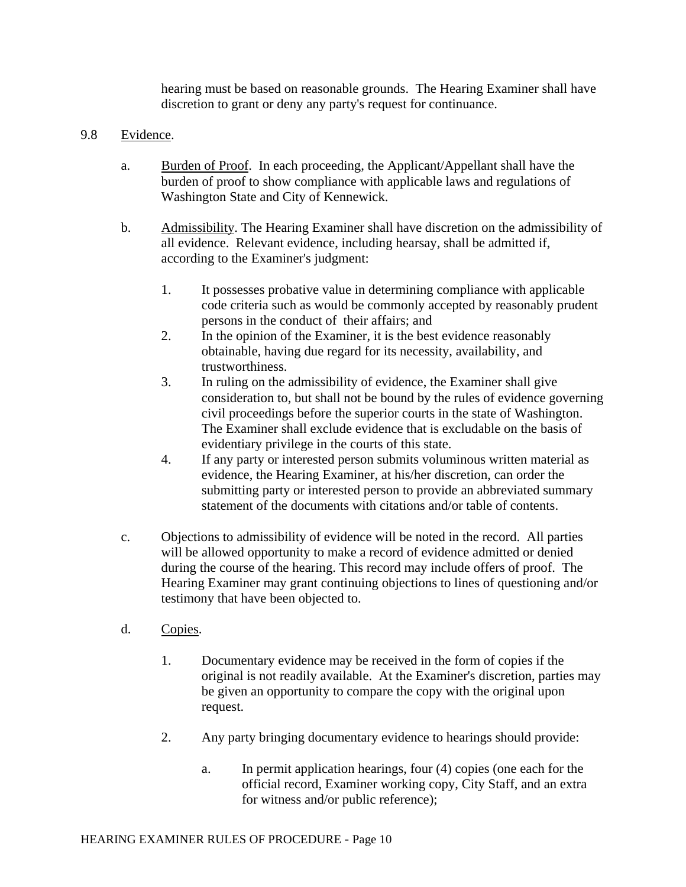hearing must be based on reasonable grounds. The Hearing Examiner shall have discretion to grant or deny any party's request for continuance.

#### 9.8 Evidence.

- a. Burden of Proof. In each proceeding, the Applicant/Appellant shall have the burden of proof to show compliance with applicable laws and regulations of Washington State and City of Kennewick.
- b. Admissibility. The Hearing Examiner shall have discretion on the admissibility of all evidence. Relevant evidence, including hearsay, shall be admitted if, according to the Examiner's judgment:
	- 1. It possesses probative value in determining compliance with applicable code criteria such as would be commonly accepted by reasonably prudent persons in the conduct of their affairs; and
	- 2. In the opinion of the Examiner, it is the best evidence reasonably obtainable, having due regard for its necessity, availability, and trustworthiness.
	- 3. In ruling on the admissibility of evidence, the Examiner shall give consideration to, but shall not be bound by the rules of evidence governing civil proceedings before the superior courts in the state of Washington. The Examiner shall exclude evidence that is excludable on the basis of evidentiary privilege in the courts of this state.
	- 4. If any party or interested person submits voluminous written material as evidence, the Hearing Examiner, at his/her discretion, can order the submitting party or interested person to provide an abbreviated summary statement of the documents with citations and/or table of contents.
- c. Objections to admissibility of evidence will be noted in the record. All parties will be allowed opportunity to make a record of evidence admitted or denied during the course of the hearing. This record may include offers of proof. The Hearing Examiner may grant continuing objections to lines of questioning and/or testimony that have been objected to.
- d. Copies.
	- 1. Documentary evidence may be received in the form of copies if the original is not readily available. At the Examiner's discretion, parties may be given an opportunity to compare the copy with the original upon request.
	- 2. Any party bringing documentary evidence to hearings should provide:
		- a. In permit application hearings, four (4) copies (one each for the official record, Examiner working copy, City Staff, and an extra for witness and/or public reference);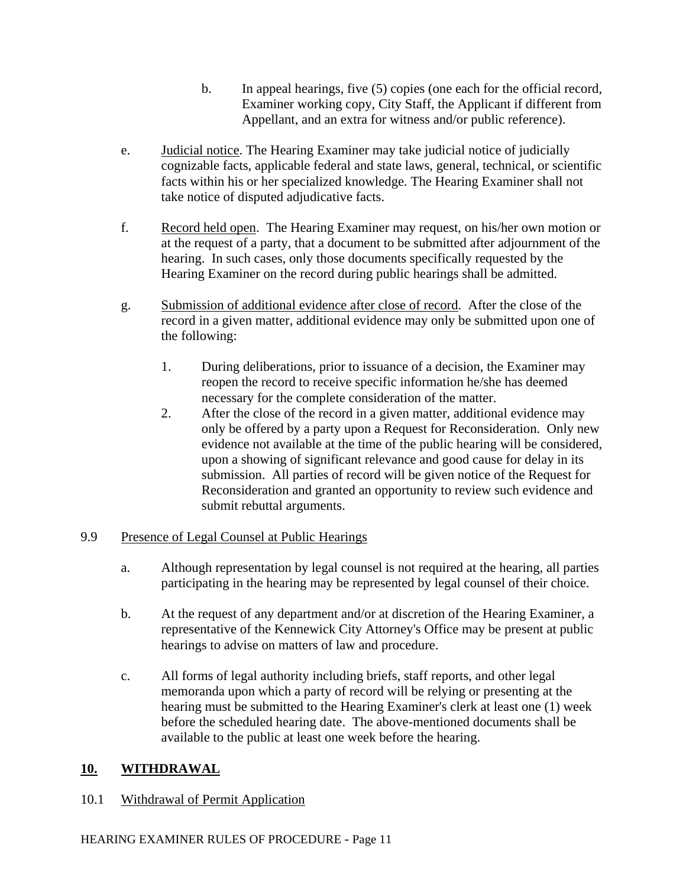- b. In appeal hearings, five (5) copies (one each for the official record, Examiner working copy, City Staff, the Applicant if different from Appellant, and an extra for witness and/or public reference).
- e. Judicial notice. The Hearing Examiner may take judicial notice of judicially cognizable facts, applicable federal and state laws, general, technical, or scientific facts within his or her specialized knowledge. The Hearing Examiner shall not take notice of disputed adjudicative facts.
- f. Record held open. The Hearing Examiner may request, on his/her own motion or at the request of a party, that a document to be submitted after adjournment of the hearing. In such cases, only those documents specifically requested by the Hearing Examiner on the record during public hearings shall be admitted.
- g. Submission of additional evidence after close of record. After the close of the record in a given matter, additional evidence may only be submitted upon one of the following:
	- 1. During deliberations, prior to issuance of a decision, the Examiner may reopen the record to receive specific information he/she has deemed necessary for the complete consideration of the matter.
	- 2. After the close of the record in a given matter, additional evidence may only be offered by a party upon a Request for Reconsideration. Only new evidence not available at the time of the public hearing will be considered, upon a showing of significant relevance and good cause for delay in its submission. All parties of record will be given notice of the Request for Reconsideration and granted an opportunity to review such evidence and submit rebuttal arguments.

### 9.9 Presence of Legal Counsel at Public Hearings

- a. Although representation by legal counsel is not required at the hearing, all parties participating in the hearing may be represented by legal counsel of their choice.
- b. At the request of any department and/or at discretion of the Hearing Examiner, a representative of the Kennewick City Attorney's Office may be present at public hearings to advise on matters of law and procedure.
- c. All forms of legal authority including briefs, staff reports, and other legal memoranda upon which a party of record will be relying or presenting at the hearing must be submitted to the Hearing Examiner's clerk at least one (1) week before the scheduled hearing date. The above-mentioned documents shall be available to the public at least one week before the hearing.

## **10. WITHDRAWAL**

### 10.1 Withdrawal of Permit Application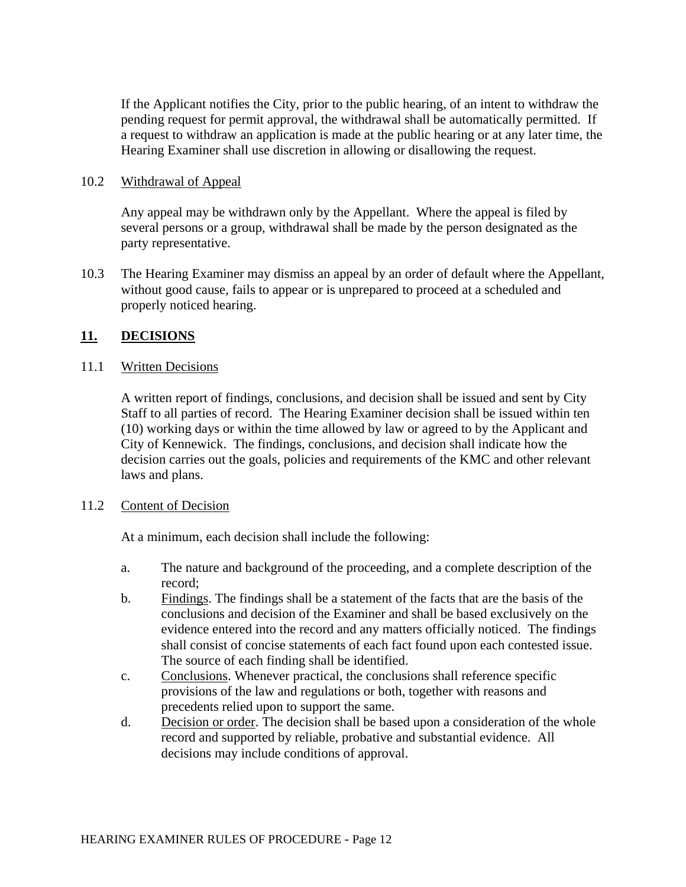If the Applicant notifies the City, prior to the public hearing, of an intent to withdraw the pending request for permit approval, the withdrawal shall be automatically permitted. If a request to withdraw an application is made at the public hearing or at any later time, the Hearing Examiner shall use discretion in allowing or disallowing the request.

#### 10.2 Withdrawal of Appeal

Any appeal may be withdrawn only by the Appellant. Where the appeal is filed by several persons or a group, withdrawal shall be made by the person designated as the party representative.

10.3 The Hearing Examiner may dismiss an appeal by an order of default where the Appellant, without good cause, fails to appear or is unprepared to proceed at a scheduled and properly noticed hearing.

### **11. DECISIONS**

#### 11.1 Written Decisions

A written report of findings, conclusions, and decision shall be issued and sent by City Staff to all parties of record. The Hearing Examiner decision shall be issued within ten (10) working days or within the time allowed by law or agreed to by the Applicant and City of Kennewick. The findings, conclusions, and decision shall indicate how the decision carries out the goals, policies and requirements of the KMC and other relevant laws and plans.

### 11.2 Content of Decision

At a minimum, each decision shall include the following:

- a. The nature and background of the proceeding, and a complete description of the record;
- b. Findings. The findings shall be a statement of the facts that are the basis of the conclusions and decision of the Examiner and shall be based exclusively on the evidence entered into the record and any matters officially noticed. The findings shall consist of concise statements of each fact found upon each contested issue. The source of each finding shall be identified.
- c. Conclusions. Whenever practical, the conclusions shall reference specific provisions of the law and regulations or both, together with reasons and precedents relied upon to support the same.
- d. Decision or order. The decision shall be based upon a consideration of the whole record and supported by reliable, probative and substantial evidence. All decisions may include conditions of approval.